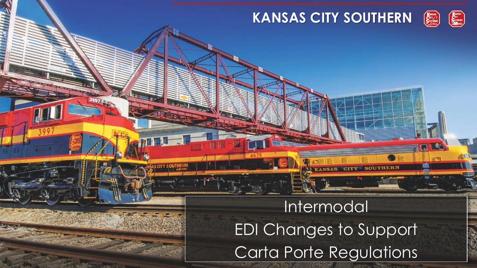

# Intermodal EDI Changes to Support Carta Porte Regulations

 $\mathbb{Z}$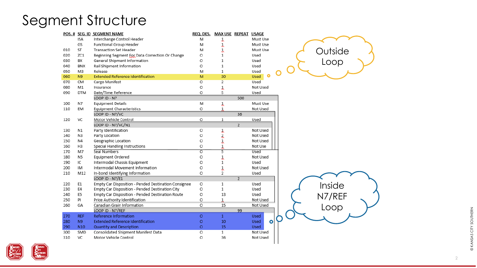## Segment Structure

|     |                 | POS. # SEG. ID SEGMENT NAME                          | REQ. DES.      | MAX USE REPEAT USAGE |                |                          |  |
|-----|-----------------|------------------------------------------------------|----------------|----------------------|----------------|--------------------------|--|
|     | <b>ISA</b>      | Interchange Control Header                           | M              | ı                    |                | Must Use                 |  |
|     | GS              | Functional Group Header                              | M              | Y                    |                | Must Use                 |  |
| 010 | ST              | <b>Transaction Set Header</b>                        | M              | J.                   |                | Must Use                 |  |
| 020 | ZC1             | Beginning Segment For Data Correction Or Change      | O              | 1                    |                | Used                     |  |
| 030 | BX              | General Shipment Information                         | O              | $\mathbf{1}$         |                | Used                     |  |
| 040 | <b>BNX</b>      | Rail Shipment Information                            | O              | $\mathbf{1}$         |                | Used                     |  |
| 050 | M3              | Release                                              | M              | $\mathbf{1}$         |                | Used                     |  |
| 060 | N <sub>9</sub>  | <b>Extended Reference Identification</b>             | M              | 30                   |                | Used                     |  |
| 070 | <b>CM</b>       | Cargo Manifest                                       | O              | $\overline{2}$       |                | Used                     |  |
| 080 | M1              | Insurance                                            | O              | Y                    |                | Not Used                 |  |
| 090 | <b>DTM</b>      | Date/Time Reference                                  | O              | 5                    |                | Used                     |  |
|     |                 | LOOP ID - N7                                         |                |                      | 500            |                          |  |
| 100 | N7              | <b>Equipment Details</b>                             | M              | Y                    |                | Must Use                 |  |
| 110 | EM              | <b>Equipment Characteristics</b>                     | O              | 1                    |                | Not Used                 |  |
|     |                 | LOOP ID - N7/VC                                      |                |                      | 36             |                          |  |
| 120 | VC              | Motor Vehicle Control                                | O              | 1                    |                | Used                     |  |
|     |                 | LOOP ID - N7/VC/N1                                   |                |                      | $\overline{2}$ |                          |  |
| 130 | N1              | Party Identification                                 | O              | Ļ                    |                | Not Used                 |  |
| 140 | N3              | Party Location                                       | O              | $\overline{2}$       |                | Not Used                 |  |
| 150 | N4              | Geographic Location                                  | O              | Ĵ,                   |                | Not Used                 |  |
| 160 | H3              | Special Handling Instructions                        | O              | $\frac{1}{2}$        |                | Not Use                  |  |
| 170 | M7              | Seal Numbers                                         | $\overline{O}$ | $\overline{5}$       |                | Used                     |  |
| 180 | N <sub>5</sub>  | Equipment Ordered                                    | O              | Ĵ,                   |                | Not Used                 |  |
| 190 | IC              | Intermodal Chassis Equipment                         | O              | $\,1$                |                | Used                     |  |
| 200 | IM              | Intermodal Movement Information                      | O              | Ĵ,                   |                | Not Used                 |  |
| 210 | M12             | In-bond Identifying Information                      | O              | 2                    |                | Used                     |  |
|     |                 | LOOP ID - N7/E1                                      |                |                      | $\overline{2}$ |                          |  |
| 220 | E1              | Empty Car Disposition - Pended Destination Consignee | O              | 1                    |                | Used                     |  |
| 230 | Ε4              | Empty Car Disposition - Pended Destination City      | O              | $\mathbf{1}$         |                | Used                     |  |
| 240 | E5              | Empty Car Disposition - Pended Destination Route     | O              | 13                   |                | Used                     |  |
| 250 | PI              | Price Authority Identification                       | O              | 1                    |                | Not Used                 |  |
| 260 | GА              | Canadian Grain Information                           | $\circ$        | 15                   |                | Not Used                 |  |
|     |                 | LOOP ID - N7/REF                                     |                |                      | 99             |                          |  |
| 270 | <b>REF</b>      | Reference Information                                | $\circ$        | $\mathbf{1}$         |                | <b>Used</b>              |  |
| 280 | <b>N9</b>       | <b>Extended Reference Identification</b>             | $\circ$        | 10                   |                | <b>Used</b><br>$\bullet$ |  |
| 290 | N <sub>10</sub> | Quantity and Description                             | $\circ$        | 15                   |                | Used                     |  |
| 300 | SMD             | Consolidated Shipment Manifest Data                  | O              | $\mathbf{1}$         |                | Not Used                 |  |
| 310 | VC              | Motor Vehicle Control                                | O              | 36                   |                | Not Used                 |  |
|     |                 |                                                      |                |                      |                |                          |  |





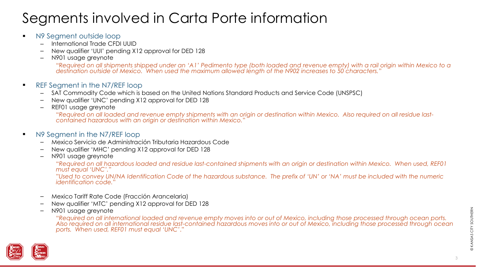# Segments involved in Carta Porte information

- N9 Segment outside loop
	- International Trade CFDI UUID
	- New qualifier 'UUI' pending X12 approval for DED 128
	- N901 usage greynote

"R*equired on all shipments shipped under an 'A1' Pedimento type (both loaded and revenue empty) with a rail origin within Mexico to a destination outside of Mexico. When used the maximum allowed length of the N902 increases to 50 characters.*"

- REF Segment in the N7/REF loop
	- SAT Commodity Code which is based on the United Nations Standard Products and Service Code (UNSPSC)
	- New qualifier 'UNC' pending X12 approval for DED 128
	- REF01 usage greynote

"*Required on all loaded and revenue empty shipments with an origin or destination within Mexico. Also required on all residue lastcontained hazardous with an origin or destination within Mexico.*"

- N9 Segment in the N7/REF loop
	- Mexico Servicio de Administración Tributaria Hazardous Code
	- New qualifier 'MHC' pending X12 approval for DED 128
	- N901 usage greynote

"*Required on all hazardous loaded and residue last-contained shipments with an origin or destination within Mexico. When used, REF01 must equal 'UNC'.*"

"*Used to convey UN/NA Identification Code of the hazardous substance. The prefix of 'UN' or 'NA' must be included with the numeric identification code.*"

- Mexico Tariff Rate Code (Fracción Arancelaria)
- New qualifier 'MTC' pending X12 approval for DED 128
- N901 usage greynote

"*Required on all international loaded and revenue empty moves into or out of Mexico, including those processed through ocean ports. Also required on all international residue last-contained hazardous moves into or out of Mexico, including those processed through ocean ports. When used, REF01 must equal 'UNC'*."

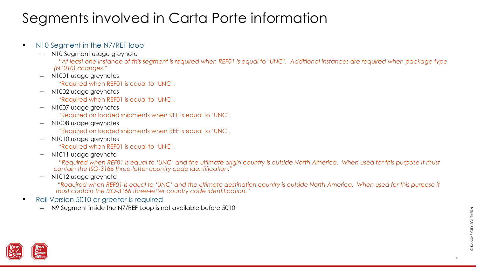# Segments involved in Carta Porte information

#### ■ N10 Segment in the N7/REF loop

– N10 Segment usage greynote

"*At least one instance of this segment is required when REF01 is equal to 'UNC'. Additional instances are required when package type (N1010) changes.*"

– N1001 usage greynotes

"Required when REF01 is equal to 'UNC'.

– N1002 usage greynotes

"Required when REF01 is equal to 'UNC'.

– N1007 usage greynotes

"Required on loaded shipments when REF is equal to 'UNC'.

– N1008 usage greynotes

"Required on loaded shipments when REF is equal to 'UNC'.

– N1010 usage greynotes

"Required when REF01 is equal to 'UNC'.

– N1011 usage greynote

"*Required when REF01 is equal to 'UNC' and the ultimate origin country is outside North America. When used for this purpose it must contain the ISO-3166 three-letter country code identification."*

– N1012 usage greynote

"Required when REF01 is equal to 'UNC' and the ultimate destination country is outside North America. When used for this purpose it *must contain the ISO-3166 three-letter country code identification.*"

- Rail Version 5010 or greater is required
	- N9 Segment inside the N7/REF Loop is not available before 5010

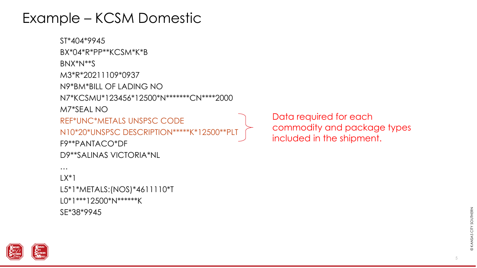

L0\*1\*\*\*12500\*N\*\*\*\*\*\*K

SE\*38\*9945

ST\*404\*9945 BX\*04\*R\*PP\*\*KCSM\*K\*B BNX\*N\*\*S M3\*R\*20211109\*0937 N9\*BM\*BILL OF LADING NO N7\*KCSMU\*123456\*12500\*N\*\*\*\*\*\*\*CN\*\*\*\*2000 M7\*SEAL NO REF\*UNC\*METALS UNSPSC CODE N10\*20\*UNSPSC DESCRIPTION\*\*\*\*\*K\*12500\*\*PLT F9\*\*PANTACO\*DF D9\*\*SALINAS VICTORIA\*NL …  $LX^*$ L5\*1\*METALS:(NOS)\*4611110\*T

Data required for each commodity and package types included in the shipment.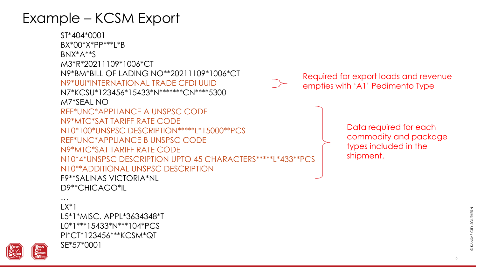

ST\*404\*0001 BX\*00\*X\*PP\*\*\*L\*B BNX\*A\*\*S M3\*R\*20211109\*1006\*CT N9\*BM\*BILL OF LADING NO\*\*20211109\*1006\*CT N9\*UUI\*INTERNATIONAL TRADE CFDI UUID N7\*KCSU\*123456\*15433\*N\*\*\*\*\*\*\*CN\*\*\*\*5300 M7\*SEAL NO REF\*UNC\*APPLIANCE A UNSPSC CODE N9\*MTC\*SAT TARIFF RATE CODE N10\*100\*UNSPSC DESCRIPTION\*\*\*\*\*L\*15000\*\*PCS REF\*UNC\*APPLIANCE B UNSPSC CODE N9\*MTC\*SAT TARIFF RATE CODE N10\*4\*UNSPSC DESCRIPTION UPTO 45 CHARACTERS\*\*\*\*\*L\*433\*\*PCS N10\*\*ADDITIONAL UNSPSC DESCRIPTION F9\*\*SALINAS VICTORIA\*NL D9\*\*CHICAGO\*IL

Data required for each commodity and package types included in the shipment.



Required for export loads and revenue empties with 'A1' Pedimento Type

6

…  $LX^*1$ L5\*1\*MISC. APPL\*3634348\*T L0\*1\*\*\*15433\*N\*\*\*104\*PCS PI\*CT\*123456\*\*\*KCSM\*QT SE\*57\*0001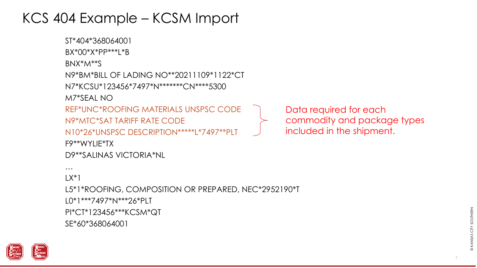

```
F9**WYLIE*TX
D9**SALINAS VICTORIA*NL
…
LX^*1L5*1*ROOFING, COMPOSITION OR PREPARED, NEC*2952190*T
L0*1***7497*N***26*PLT
PI*CT*123456***KCSM*QT
SE*60*368064001
```

```
Data required for each 
commodity and package types 
included in the shipment.
```
#### KCS 404 Example – KCSM Import

N9\*MTC\*SAT TARIFF RATE CODE

N9\*BM\*BILL OF LADING NO\*\*20211109\*1122\*CT

REF\*UNC\*ROOFING MATERIALS UNSPSC CODE

N10\*26\*UNSPSC DESCRIPTION\*\*\*\*\*L\*7497\*\*PLT

N7\*KCSU\*123456\*7497\*N\*\*\*\*\*\*\*CN\*\*\*\*5300

ST\*404\*368064001

BX\*00\*X\*PP\*\*\*L\*B

BNX\*M\*\*S

M7\*SEAL NO

7